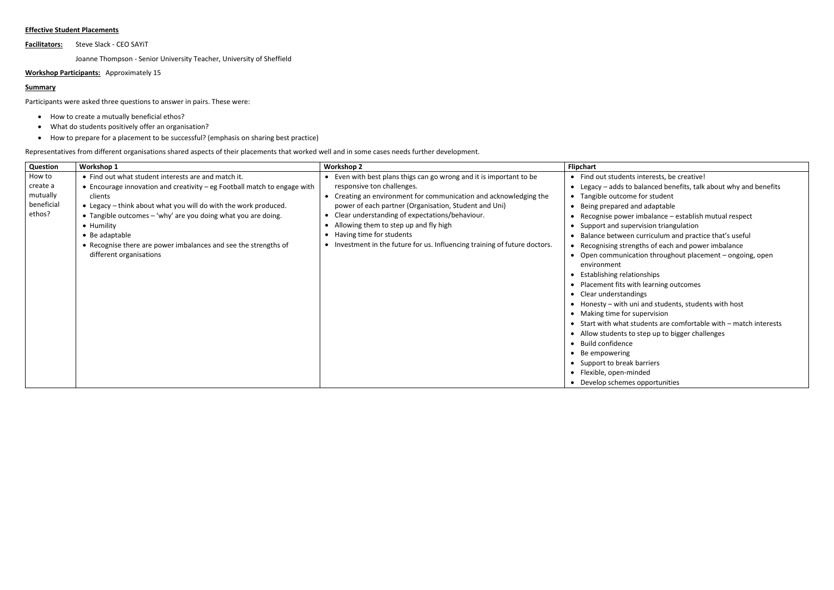## **Effective Student Placements**

**Facilitators:** Steve Slack - CEO SAYiT

Joanne Thompson - Senior University Teacher, University of Sheffield

**Workshop Participants:** Approximately 15

## **Summary**

Participants were asked three questions to answer in pairs. These were:

- How to create a mutually beneficial ethos?
- What do students positively offer an organisation?
- How to prepare for a placement to be successful? (emphasis on sharing best practice)

Representatives from different organisations shared aspects of their placements that worked well and in some cases needs further development.

| Question                                               | Workshop 1                                                                                                                                                                                                                                                                                                                                                                                                   | <b>Workshop 2</b>                                                                                                                                                                                                                                                                                                                                                                                                                    | <b>Flipchart</b>                                                                                                                                                                                                                                                                                                                                                                                                                                                             |
|--------------------------------------------------------|--------------------------------------------------------------------------------------------------------------------------------------------------------------------------------------------------------------------------------------------------------------------------------------------------------------------------------------------------------------------------------------------------------------|--------------------------------------------------------------------------------------------------------------------------------------------------------------------------------------------------------------------------------------------------------------------------------------------------------------------------------------------------------------------------------------------------------------------------------------|------------------------------------------------------------------------------------------------------------------------------------------------------------------------------------------------------------------------------------------------------------------------------------------------------------------------------------------------------------------------------------------------------------------------------------------------------------------------------|
| How to<br>create a<br>mutually<br>beneficial<br>ethos? | • Find out what student interests are and match it.<br>• Encourage innovation and creativity – eg Football match to engage with<br>clients<br>• Legacy – think about what you will do with the work produced.<br>• Tangible outcomes - 'why' are you doing what you are doing.<br>• Humility<br>• Be adaptable<br>• Recognise there are power imbalances and see the strengths of<br>different organisations | • Even with best plans thigs can go wrong and it is important to be<br>responsive ton challenges.<br>• Creating an environment for communication and acknowledging the<br>power of each partner (Organisation, Student and Uni)<br>Clear understanding of expectations/behaviour.<br>Allowing them to step up and fly high<br>Having time for students<br>• Investment in the future for us. Influencing training of future doctors. | Find out students<br>Legacy $-$ adds to<br>Tangible outcom<br>Being prepared a<br>Recognise power<br>Support and supe<br>Balance between<br>Recognising strer<br>Open communica<br>environment<br><b>Establishing relat</b><br>Placement fits wi<br>Clear understand<br>Honesty - with u<br>Making time for s<br>Start with what s<br>$\bullet$<br>Allow students to<br><b>Build confidence</b><br>Be empowering<br>Support to break<br>Flexible, open-mi<br>Develop schemes |

ts interests, be creative!

- balanced benefits, talk about why and benefits
- ne for student
- and adaptable
- er imbalance establish mutual respect
- oervision triangulation
- In curriculum and practice that's useful
- engths of each and power imbalance
- cation throughout placement ongoing, open
- ationships
- vith learning outcomes
- dings
- uni and students, students with host
- maupervision
- students are comfortable with match interests
- to step up to bigger challenges
- 

k barriers ninded es opportunities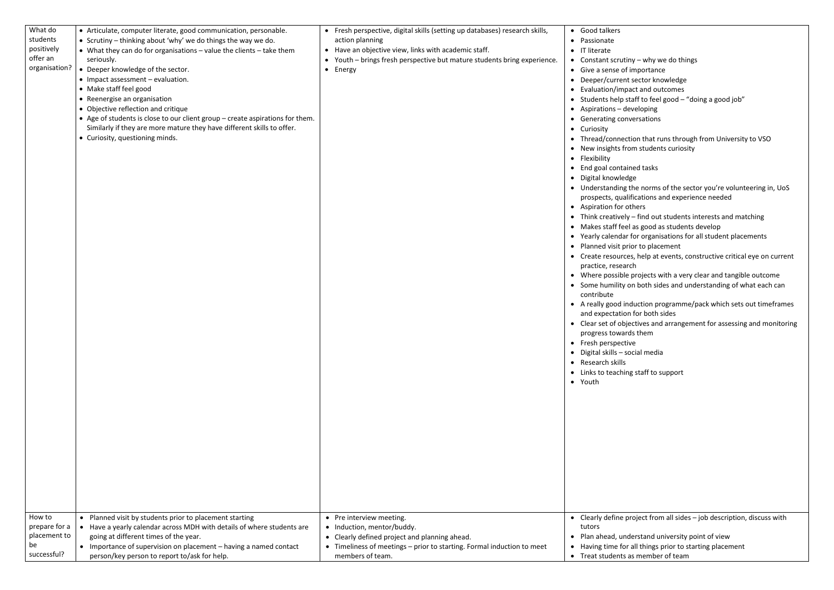| What do       | • Articulate, computer literate, good communication, personable.              | • Fresh perspective, digital skills (setting up databases) research skills, | • Good talkers                       |
|---------------|-------------------------------------------------------------------------------|-----------------------------------------------------------------------------|--------------------------------------|
| students      | • Scrutiny – thinking about 'why' we do things the way we do.                 | action planning                                                             | Passionate<br>$\bullet$              |
| positively    | • What they can do for organisations - value the clients - take them          | • Have an objective view, links with academic staff.                        | IT literate<br>$\bullet$             |
| offer an      | seriously.                                                                    | • Youth - brings fresh perspective but mature students bring experience.    | • Constant scrutiny                  |
| organisation? | • Deeper knowledge of the sector.                                             | • Energy                                                                    | • Give a sense of im                 |
|               | • Impact assessment - evaluation.                                             |                                                                             | Deeper/current se<br>$\bullet$       |
|               | • Make staff feel good                                                        |                                                                             | Evaluation/impac<br>$\bullet$        |
|               | • Reenergise an organisation                                                  |                                                                             | Students help stat<br>$\bullet$      |
|               | • Objective reflection and critique                                           |                                                                             | Aspirations - deve<br>$\bullet$      |
|               | • Age of students is close to our client group – create aspirations for them. |                                                                             | <b>Generating conve</b><br>$\bullet$ |
|               | Similarly if they are more mature they have different skills to offer.        |                                                                             | Curiosity<br>$\bullet$               |
|               | • Curiosity, questioning minds.                                               |                                                                             | Thread/connectio<br>$\bullet$        |
|               |                                                                               |                                                                             | New insights from<br>$\bullet$       |
|               |                                                                               |                                                                             | Flexibility<br>$\bullet$             |
|               |                                                                               |                                                                             | End goal containe                    |
|               |                                                                               |                                                                             | Digital knowledge<br>$\bullet$       |
|               |                                                                               |                                                                             | • Understanding the                  |
|               |                                                                               |                                                                             | prospects, qualifid                  |
|               |                                                                               |                                                                             | • Aspiration for oth                 |
|               |                                                                               |                                                                             | $\bullet$ Think creatively -         |
|               |                                                                               |                                                                             | Makes staff feel a<br>٠              |
|               |                                                                               |                                                                             | • Yearly calendar fo                 |
|               |                                                                               |                                                                             | Planned visit prior<br>$\bullet$     |
|               |                                                                               |                                                                             | Create resources,<br>$\bullet$       |
|               |                                                                               |                                                                             | practice, research                   |
|               |                                                                               |                                                                             | • Where possible pr                  |
|               |                                                                               |                                                                             | • Some humility on                   |
|               |                                                                               |                                                                             | contribute                           |
|               |                                                                               |                                                                             | • A really good indu                 |
|               |                                                                               |                                                                             | and expectation f                    |
|               |                                                                               |                                                                             | Clear set of object<br>$\bullet$     |
|               |                                                                               |                                                                             | progress towards                     |
|               |                                                                               |                                                                             | Fresh perspective<br>$\bullet$       |
|               |                                                                               |                                                                             | Digital skills - soci<br>$\bullet$   |
|               |                                                                               |                                                                             | Research skills                      |
|               |                                                                               |                                                                             | Links to teaching<br>$\bullet$       |
|               |                                                                               |                                                                             | • Youth                              |
|               |                                                                               |                                                                             |                                      |
|               |                                                                               |                                                                             |                                      |
|               |                                                                               |                                                                             |                                      |
|               |                                                                               |                                                                             |                                      |
|               |                                                                               |                                                                             |                                      |
|               |                                                                               |                                                                             |                                      |
|               |                                                                               |                                                                             |                                      |
|               |                                                                               |                                                                             |                                      |
|               |                                                                               |                                                                             |                                      |
|               |                                                                               |                                                                             |                                      |
|               |                                                                               |                                                                             |                                      |
|               |                                                                               |                                                                             |                                      |
| How to        | • Planned visit by students prior to placement starting                       | • Pre interview meeting.                                                    | • Clearly define pro                 |
| prepare for a | • Have a yearly calendar across MDH with details of where students are        | • Induction, mentor/buddy.                                                  | tutors                               |
| placement to  | going at different times of the year.                                         | • Clearly defined project and planning ahead.                               | Plan ahead, under<br>٠               |
| be            | • Importance of supervision on placement - having a named contact             | • Timeliness of meetings - prior to starting. Formal induction to meet      | Having time for al<br>٠              |
| successful?   | person/key person to report to/ask for help.                                  | members of team.                                                            | • Treat students as                  |
|               |                                                                               |                                                                             |                                      |

ny – why we do things

- importance
- Bector knowledge
- act and outcomes
- taff to feel good "doing a good job"
- eveloping
- versations

tion that runs through from University to VSO om students curiosity

ned tasks

- 
- the norms of the sector you're volunteering in, UoS ifications and experience needed
- thers
- $T -$  find out students interests and matching
- l as good as students develop
- for organisations for all student placements ior to placement
- s, help at events, constructive critical eye on current ch
- projects with a very clear and tangible outcome on both sides and understanding of what each can
- duction programme/pack which sets out timeframes n for both sides
- ectives and arrangement for assessing and monitoring ds them
- 
- ocial media

staff to support

roject from all sides – job description, discuss with

lerstand university point of view all things prior to starting placement Is member of team